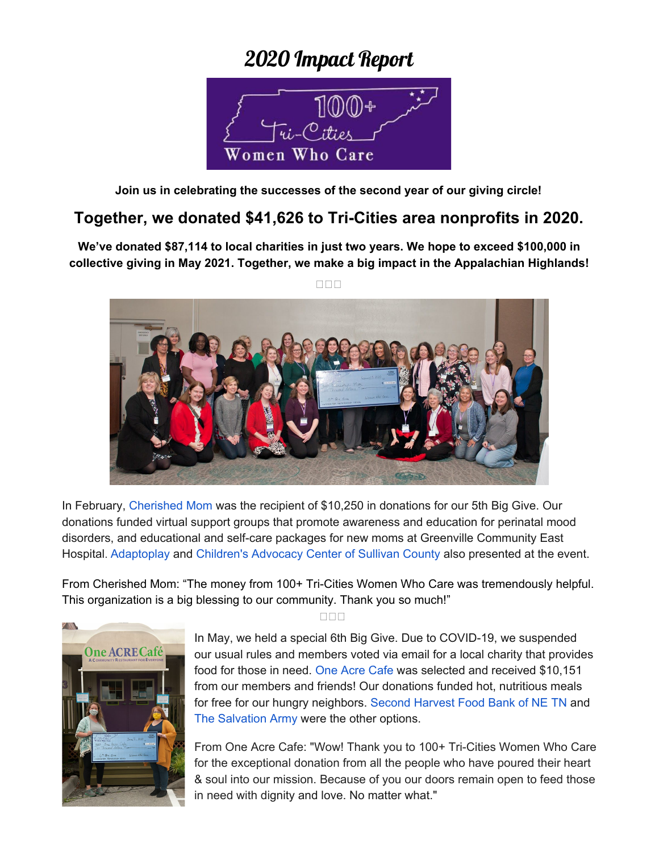## 2020 Impact Report



**Join us in celebrating the successes of the second year of our giving circle!**

## **Together, we donated \$41,626 to Tri-Cities area nonprofits in 2020.**

**We've donated \$87,114 to local charities in just two years. We hope to exceed \$100,000 in collective giving in May 2021. Together, we make a big impact in the Appalachian Highlands!**

 $\Box \Box \Box$ 



In February, [Cherished](https://www.cherishedmom.org/) Mom was the recipient of \$10,250 in donations for our 5th Big Give. Our donations funded virtual support groups that promote awareness and education for perinatal mood disorders, and educational and self-care packages for new moms at Greenville Community East Hospital. [Adaptoplay](https://www.facebook.com/AdaptoPlay) and [Children's](http://www.cacsctn.org/) Advocacy Center of Sullivan County also presented at the event.

From Cherished Mom: "The money from 100+ Tri-Cities Women Who Care was tremendously helpful. This organization is a big blessing to our community. Thank you so much!"



 $\Box \Box \Box$ 

In May, we held a special 6th Big Give. Due to COVID-19, we suspended our usual rules and members voted via email for a local charity that provides food for those in need. One Acre [Cafe](http://oneacrecafe.org/) was selected and received \$10,151 from our members and friends! Our donations funded hot, nutritious meals for free for our hungry neighbors. Second [Harvest](http://netfoodbank.org/) Food Bank of NE TN and The [Salvation](https://www.salvationarmyusa.org/) Army were the other options.

From One Acre Cafe: "Wow! Thank you to 100+ Tri-Cities Women Who Care for the exceptional donation from all the people who have poured their heart & soul into our mission. Because of you our doors remain open to feed those in need with dignity and love. No matter what."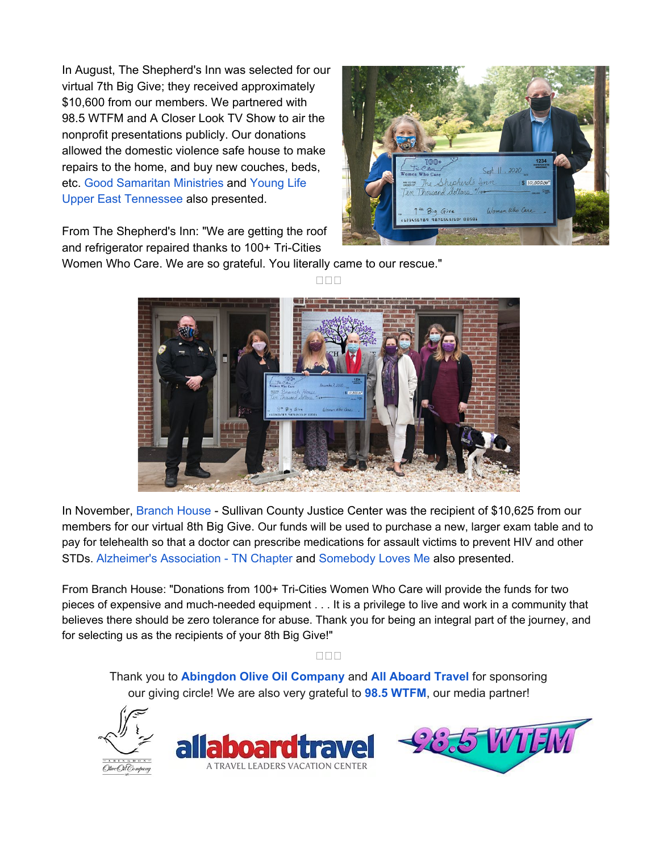In August, The Shepherd's Inn was selected for our virtual 7th Big Give; they received approximately \$10,600 from our members. We partnered with 98.5 WTFM and A Closer Look TV Show to air the nonprofit presentations publicly. Our donations allowed the domestic violence safe house to make repairs to the home, and buy new couches, beds, etc. Good [Samaritan](https://goodsamjc.org/) Ministries and [Young](https://uppereasttennessee.younglife.org/Pages/default.aspx) Life Upper East [Tennessee](https://uppereasttennessee.younglife.org/Pages/default.aspx) also presented.

From The Shepherd's Inn: "We are getting the roof and refrigerator repaired thanks to 100+ Tri-Cities



Women Who Care. We are so grateful. You literally came to our rescue."



**DDD** 

In November, [Branch](http://www.branchhousecenter.com/) House - Sullivan County Justice Center was the recipient of \$10,625 from our members for our virtual 8th Big Give. Our funds will be used to purchase a new, larger exam table and to pay for telehealth so that a doctor can prescribe medications for assault victims to prevent HIV and other STDs. Alzheimer's [Association](http://www.alz.org/TN) - TN Chapter and [Somebody](http://somebodylovesmeinc.org/) Loves Me also presented.

From Branch House: "Donations from 100+ Tri-Cities Women Who Care will provide the funds for two pieces of expensive and much-needed equipment . . . It is a privilege to live and work in a community that believes there should be zero tolerance for abuse. Thank you for being an integral part of the journey, and for selecting us as the recipients of your 8th Big Give!"

**DOO** 

Thank you to **[Abingdon](https://abingdonoliveoilco.com/) Olive Oil Company** and **All [Aboard](http://www.allaboardtravel.com/) Travel** for sponsoring our giving circle! We are also very grateful to **98.5 [WTFM](https://www.wtfm.com/)**, our media partner!